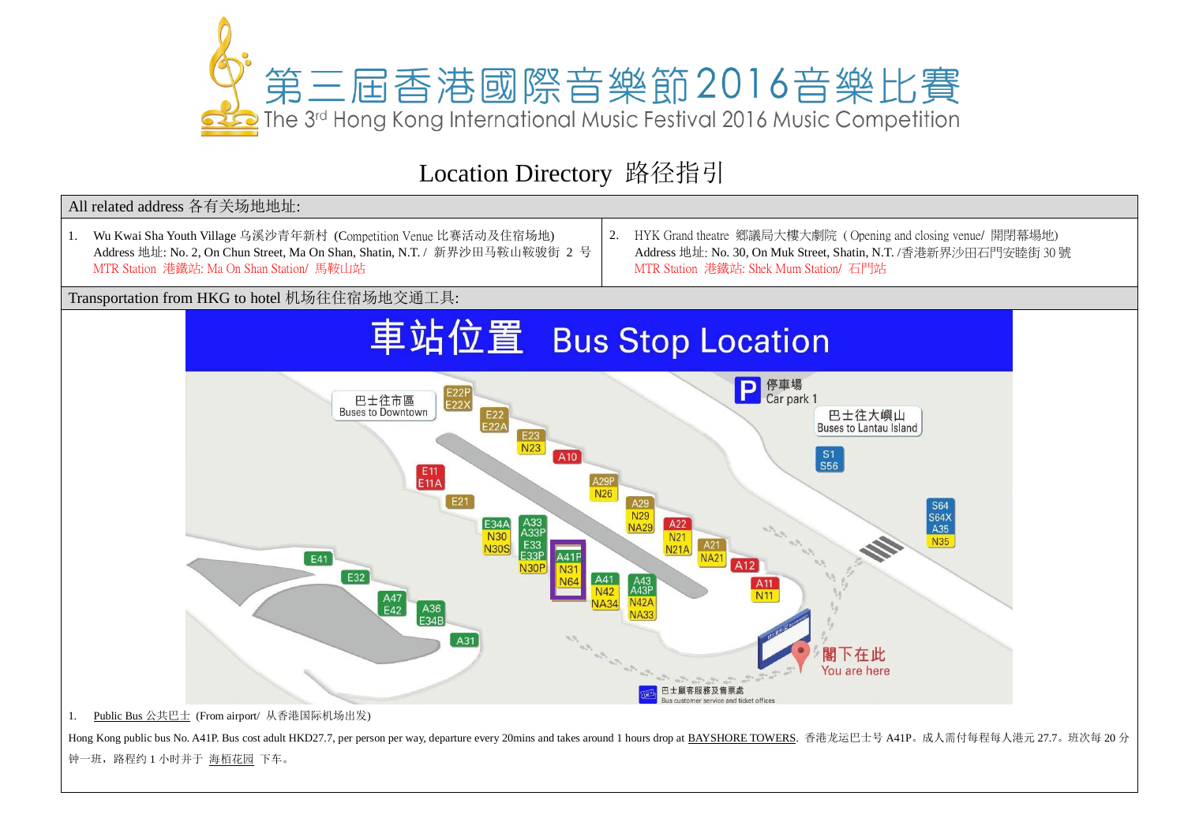

## Location Directory 路径指引



1. Public Bus 公共巴士 (From airport/ 从香港国际机场出发)

Hong Kong public bus No. A41P. Bus cost adult HKD27.7, per person per way, departure every 20mins and takes around 1 hours drop at BAYSHORE TOWERS. 香港龙运巴士号 A41P。成人需付每程每人港元 27.7。班次每 20 分 钟一班,路程约 1 小时并于 海栢花园 下车。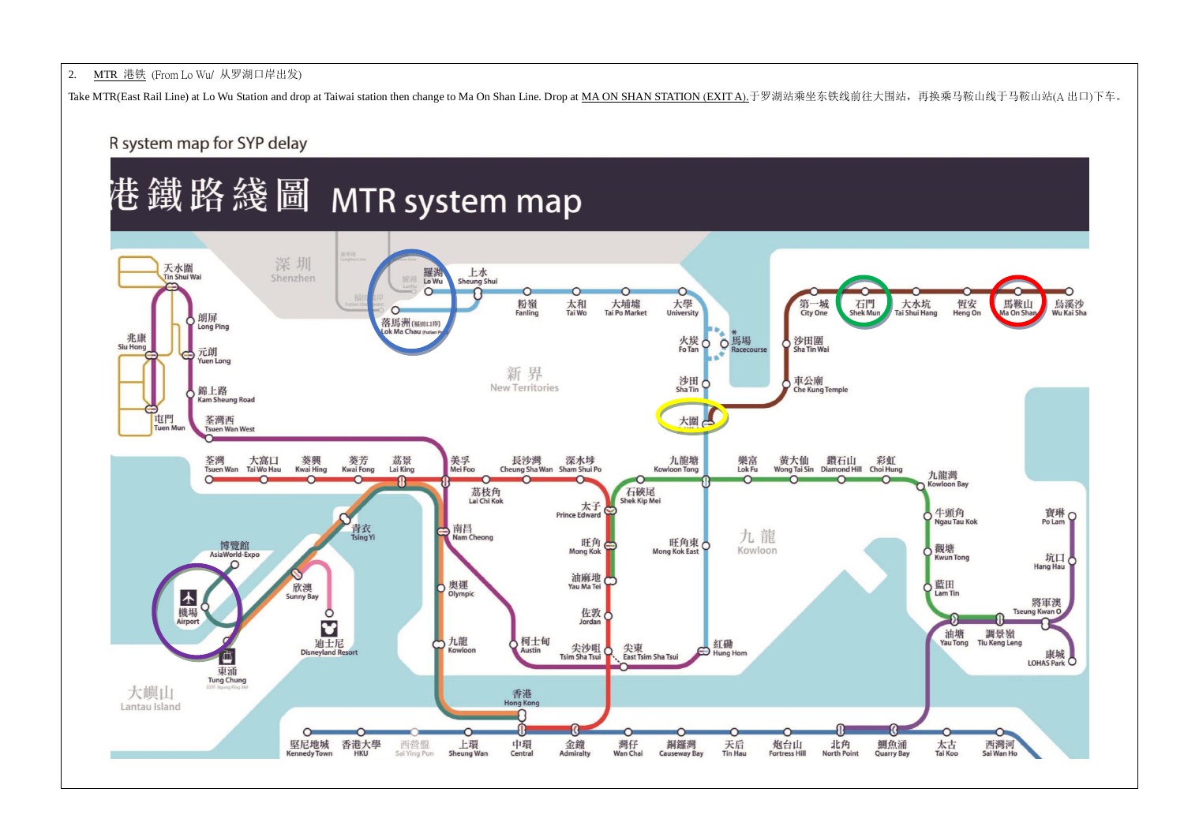## 2. MTR 港铁 (From Lo Wu/ 从罗湖口岸出发)

Take MTR(East Rail Line) at Lo Wu Station and drop at Taiwai station then change to Ma On Shan Line. Drop at MA ON SHAN STATION (EXIT A).于罗湖站乘坐东铁线前往大围站,再换乘马鞍山线于马鞍山站(A 出口)下车。

R system map for SYP delay



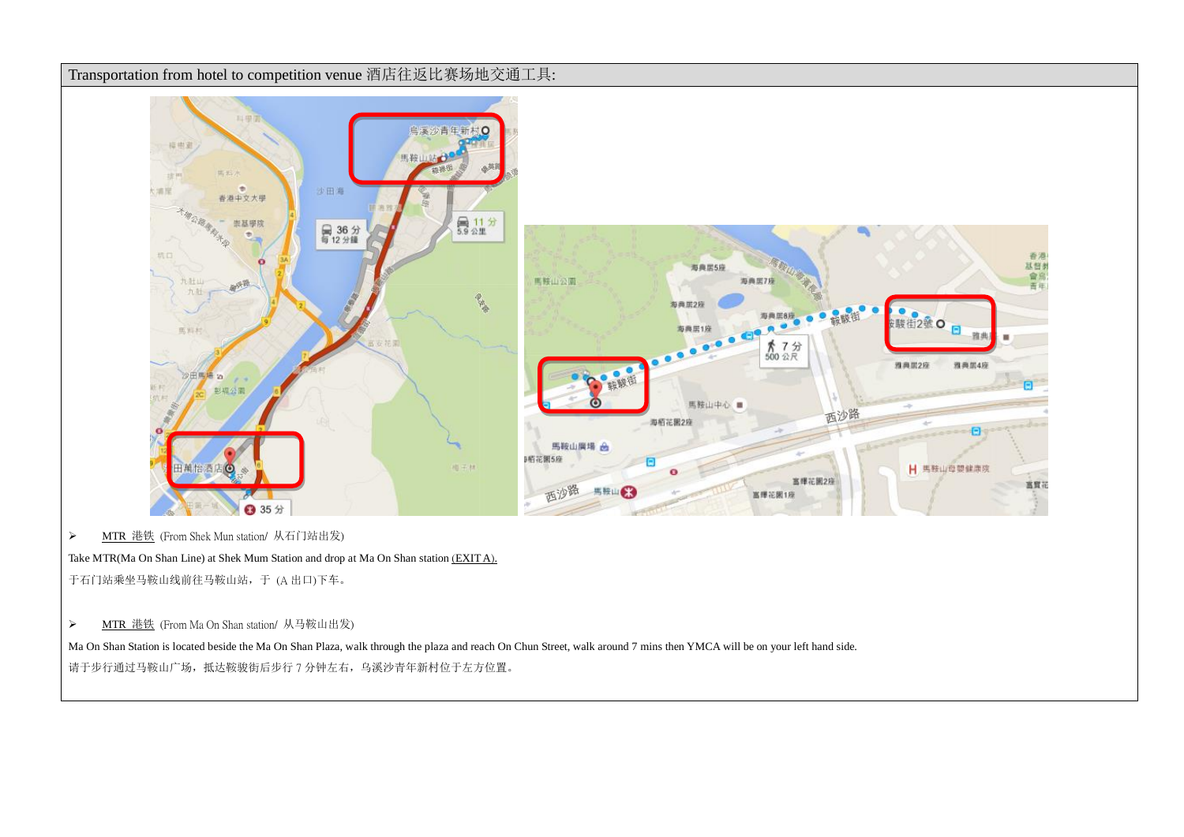

> MTR 港铁 (From Shek Mun station/ 从石门站出发)

Take MTR(Ma On Shan Line) at Shek Mum Station and drop at Ma On Shan station (EXIT A).

于石门站乘坐马鞍山线前往马鞍山站,于 (A 出口)下车。

> MTR 港铁 (From Ma On Shan station/ 从马鞍山出发)

Ma On Shan Station is located beside the Ma On Shan Plaza, walk through the plaza and reach On Chun Street, walk around 7 mins then YMCA will be on your left hand side. 请于步行通过马鞍山广场,抵达鞍骏街后步行 7 分钟左右,乌溪沙青年新村位于左方位置。